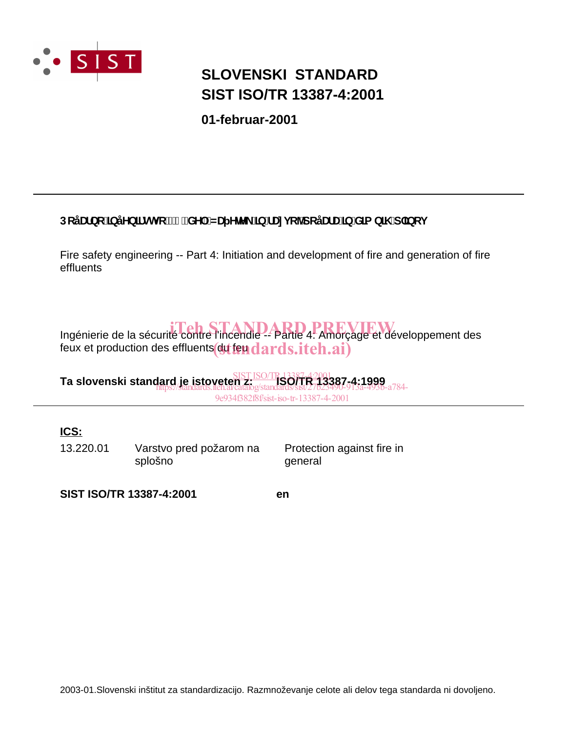

## **SIST ISO/TR 13387-4:2001 SLOVENSKI STANDARD**

**01-februar-2001**

### DcÿUfbc ]bÿYb]fghj c '!'( "XY. NU YhY\_']b fUnj c^dcÿUfU]b X]a b]\ 'd`]bcj

Fire safety engineering -- Part 4: Initiation and development of fire and generation of fire effluents

Ingénierie de la sécurité contre l'incendie -- Partie 4: Amorçage et développement des feux et production des effluents $(\underbar{\mathfrak{g}}\mathfrak{t}$  **tendards.itch.ai**)

**Ta slovenski standard je istoveten z: ISO/TR 13387-4:1999** SIST ISO/TR13387-4:2001 https://standards.iteh.ai/catalog/standards/sist/27b23490-913a-493b-a784- 9e934f382f8f/sist-iso-tr-13387-4-2001

### **ICS:**

13.220.01 Varstvo pred požarom na splošno

Protection against fire in general

**SIST ISO/TR 13387-4:2001 en**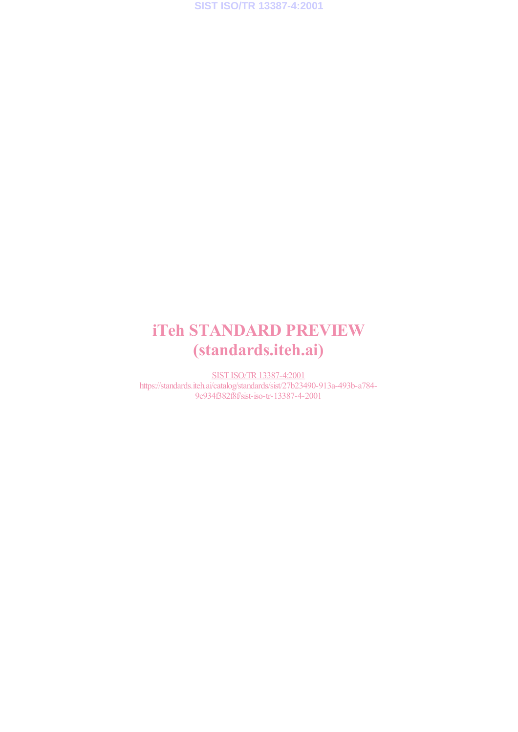**SIST ISO/TR 13387-4:2001**

## iTeh STANDARD PREVIEW (standards.iteh.ai)

SIST ISO/TR13387-4:2001 https://standards.iteh.ai/catalog/standards/sist/27b23490-913a-493b-a784- 9e934f382f8f/sist-iso-tr-13387-4-2001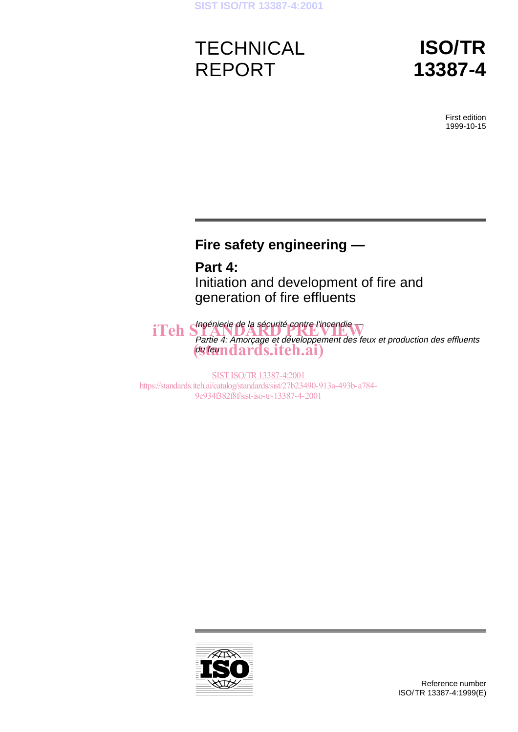# **TECHNICAL** REPORT

## **ISO/TR 13387-4**

First edition 1999-10-15

## **Fire safety engineering —**

**Part 4:** Initiation and development of fire and generation of fire effluents

iTeh Shapenierie de la sécurité contre l'incendie Partie 4: Amorçage et développement des feux et production des effluents du feundards.iteh.ai)

SIST ISO/TR 13387-4:2001 https://standards.iteh.ai/catalog/standards/sist/27b23490-913a-493b-a784- 9e934f382f8f/sist-iso-tr-13387-4-2001

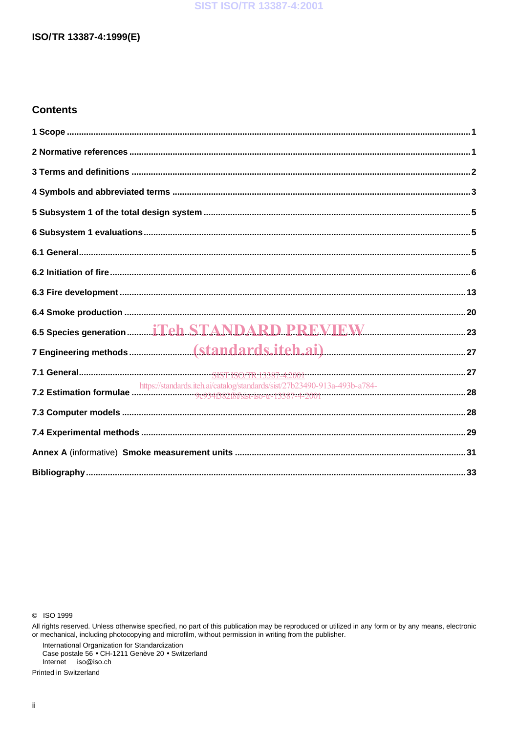#### **SIST ISO/TR 13387-4:2001**

#### ISO/TR 13387-4:1999(E)

#### **Contents**

C ISO 1999

All rights reserved. Unless otherwise specified, no part of this publication may be reproduced or utilized in any form or by any means, electronic or mechanical, including photocopying and microfilm, without permission in writing from the publisher.

International Organization for Standardization<br>Case postale 56 • CH-1211 Genève 20 • Switzerland Internet iso@iso.ch

Printed in Switzerland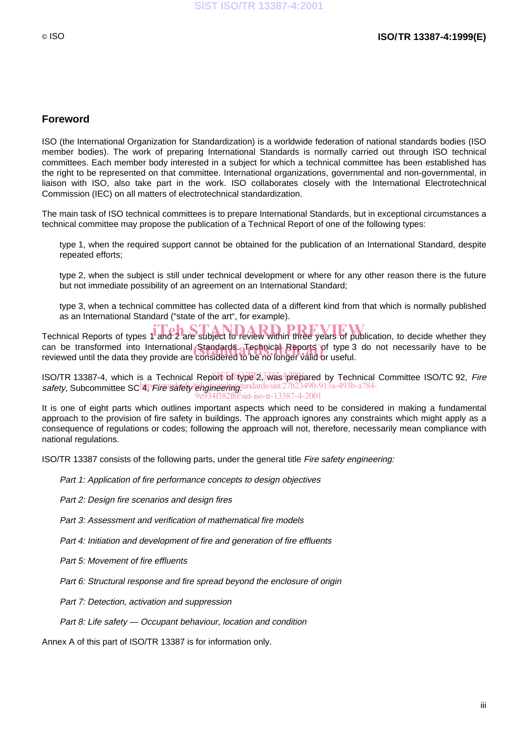#### **Foreword**

ISO (the International Organization for Standardization) is a worldwide federation of national standards bodies (ISO member bodies). The work of preparing International Standards is normally carried out through ISO technical committees. Each member body interested in a subject for which a technical committee has been established has the right to be represented on that committee. International organizations, governmental and non-governmental, in liaison with ISO, also take part in the work. ISO collaborates closely with the International Electrotechnical Commission (IEC) on all matters of electrotechnical standardization.

The main task of ISO technical committees is to prepare International Standards, but in exceptional circumstances a technical committee may propose the publication of a Technical Report of one of the following types:

- type 1, when the required support cannot be obtained for the publication of an International Standard, despite repeated efforts;
- type 2, when the subject is still under technical development or where for any other reason there is the future but not immediate possibility of an agreement on an International Standard;
- type 3, when a technical committee has collected data of a different kind from that which is normally published as an International Standard ("state of the art", for example).

Technical Reports of types 1 and 2 are subject to review within three years of publication, to decide whether they can be transformed into International Standards. Technical Reports of type 3 do not necessarily have to be<br>reviewed until the data they provide are considered to be no longer valid or useful reviewed until the data they provide are considered to be no longer valid or useful.

ISO/TR 13387-4, which is a Technical Report of type 2,<sup>338</sup>as fifepared by Technical Committee ISO/TC 92, Fire safety, Subcommittee SC<sup>14</sup>PFire safety tehginetelnagtandards/sist/27b23490-913a-493b-a784-2f8f/sist-iso-tr-13387-4-2001

It is one of eight parts which outlines important aspects which need to be considered in making a fundamental approach to the provision of fire safety in buildings. The approach ignores any constraints which might apply as a consequence of regulations or codes; following the approach will not, therefore, necessarily mean compliance with national regulations.

ISO/TR 13387 consists of the following parts, under the general title Fire safety engineering:

- Part 1: Application of fire performance concepts to design objectives
- Part 2: Design fire scenarios and design fires
- Part 3: Assessment and verification of mathematical fire models
- Part 4: Initiation and development of fire and generation of fire effluents
- Part 5: Movement of fire effluents
- Part 6: Structural response and fire spread beyond the enclosure of origin
- Part 7: Detection, activation and suppression
- $-$  Part 8: Life safety  $-$  Occupant behaviour, location and condition

Annex A of this part of ISO/TR 13387 is for information only.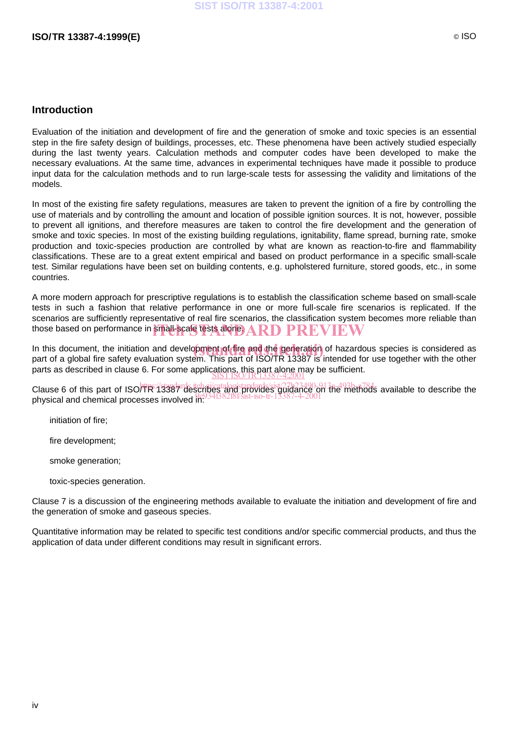#### **ISO/TR 13387-4:1999(E)** © ISO

#### **Introduction**

Evaluation of the initiation and development of fire and the generation of smoke and toxic species is an essential step in the fire safety design of buildings, processes, etc. These phenomena have been actively studied especially during the last twenty years. Calculation methods and computer codes have been developed to make the necessary evaluations. At the same time, advances in experimental techniques have made it possible to produce input data for the calculation methods and to run large-scale tests for assessing the validity and limitations of the models.

In most of the existing fire safety regulations, measures are taken to prevent the ignition of a fire by controlling the use of materials and by controlling the amount and location of possible ignition sources. It is not, however, possible to prevent all ignitions, and therefore measures are taken to control the fire development and the generation of smoke and toxic species. In most of the existing building regulations, ignitability, flame spread, burning rate, smoke production and toxic-species production are controlled by what are known as reaction-to-fire and flammability classifications. These are to a great extent empirical and based on product performance in a specific small-scale test. Similar regulations have been set on building contents, e.g. upholstered furniture, stored goods, etc., in some countries.

A more modern approach for prescriptive regulations is to establish the classification scheme based on small-scale tests in such a fashion that relative performance in one or more full-scale fire scenarios is replicated. If the scenarios are sufficiently representative of real fire scenarios, the classification system becomes more reliable than those based on performance in small-scale tests alone. ARD  $\bf PREVIEW$ 

In this document, the initiation and development of fire and the generation of hazardous species is considered as<br>nart of a global fire safety evaluation system. This part of ISO/TP 13387 is intended for use together with part of a global fire safety evaluation system. This part of ISO/TR 13387 is intended for use together with the other parts as described in clause 6. For some applications, this part alone may be sufficient.<br>SIST ISO/TR13387-4:2001

Clause 6 of this part of ISO/TR 13387 describes and provides guidance on the methods available to describe the physical and chemical processes involved in: 9e934f382f8f/sist-iso-tr-13387-4-2001

- initiation of fire;
- fire development;
- smoke generation;
- toxic-species generation.

Clause 7 is a discussion of the engineering methods available to evaluate the initiation and development of fire and the generation of smoke and gaseous species.

Quantitative information may be related to specific test conditions and/or specific commercial products, and thus the application of data under different conditions may result in significant errors.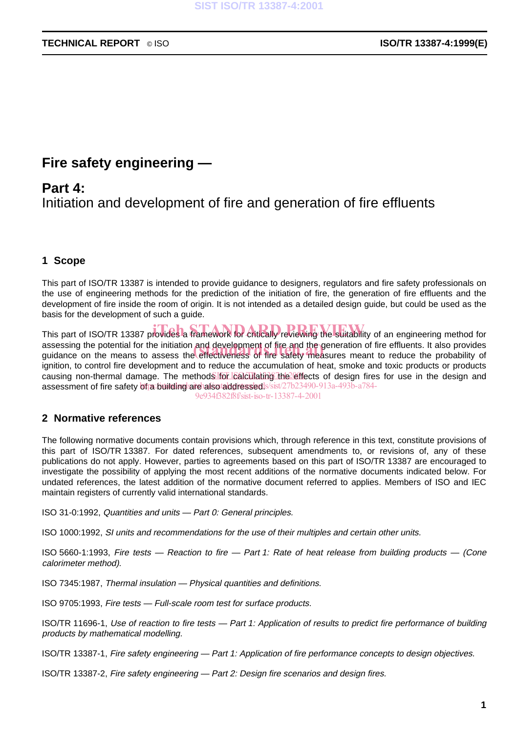### **Fire safety engineering —**

**Part 4:** Initiation and development of fire and generation of fire effluents

### **1 Scope**

This part of ISO/TR 13387 is intended to provide guidance to designers, regulators and fire safety professionals on the use of engineering methods for the prediction of the initiation of fire, the generation of fire effluents and the development of fire inside the room of origin. It is not intended as a detailed design guide, but could be used as the basis for the development of such a guide.

This part of ISO/TR 13387 provides a framework for critically reviewing the suitability of an engineering method for assessing the potential for the initiation and development of fire and the generation of fire effluents. It also provides assessing the potential for the initiation and development of fire and the generation of fire effluents. It also provides<br>guidance on the means to assess the effectiveness of fire safety measures meant to reduce the probab ignition, to control fire development and to reduce the accumulation of heat, smoke and toxic products or products causing non-thermal damage. The methods for calculating the effects of design fires for use in the design and assessment of fire safety of a building are also addressed s/sist/27b23490-913a-493b-a784-

9e934f382f8f/sist-iso-tr-13387-4-2001

#### **2 Normative references**

The following normative documents contain provisions which, through reference in this text, constitute provisions of this part of ISO/TR 13387. For dated references, subsequent amendments to, or revisions of, any of these publications do not apply. However, parties to agreements based on this part of ISO/TR 13387 are encouraged to investigate the possibility of applying the most recent additions of the normative documents indicated below. For undated references, the latest addition of the normative document referred to applies. Members of ISO and IEC maintain registers of currently valid international standards.

ISO 31-0:1992, Quantities and units — Part 0: General principles.

ISO 1000:1992, SI units and recommendations for the use of their multiples and certain other units.

ISO 5660-1:1993, Fire tests — Reaction to fire — Part 1: Rate of heat release from building products — (Cone calorimeter method).

ISO 7345:1987, Thermal insulation — Physical quantities and definitions.

ISO 9705:1993, Fire tests — Full-scale room test for surface products.

ISO/TR 11696-1, Use of reaction to fire tests — Part 1: Application of results to predict fire performance of building products by mathematical modelling.

ISO/TR 13387-1, Fire safety engineering — Part 1: Application of fire performance concepts to design objectives.

ISO/TR 13387-2, Fire safety engineering — Part 2: Design fire scenarios and design fires.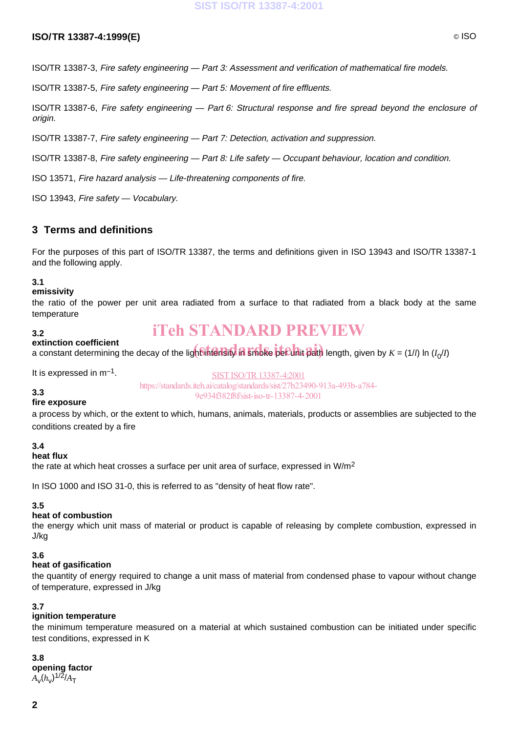#### **SIST ISO/TR 13387-4:2001**

#### **ISO/TR 13387-4:1999(E)** © ISO

ISO/TR 13387-3, Fire safety engineering — Part 3: Assessment and verification of mathematical fire models.

ISO/TR 13387-5, Fire safety engineering — Part 5: Movement of fire effluents.

ISO/TR 13387-6, Fire safety engineering — Part 6: Structural response and fire spread beyond the enclosure of origin.

ISO/TR 13387-7, Fire safety engineering — Part 7: Detection, activation and suppression.

ISO/TR 13387-8, Fire safety engineering — Part 8: Life safety — Occupant behaviour, location and condition.

ISO 13571, Fire hazard analysis — Life-threatening components of fire.

ISO 13943, Fire safety — Vocabulary.

### **3 Terms and definitions**

For the purposes of this part of ISO/TR 13387, the terms and definitions given in ISO 13943 and ISO/TR 13387-1 and the following apply.

#### **3.1**

#### **emissivity**

the ratio of the power per unit area radiated from a surface to that radiated from a black body at the same temperature

## iTeh STANDARD PREVIEW

#### **3.2 extinction coefficient**

extinction coefficient<br>a constant determining the decay of the lighbintensity in smoke per unit path length, given by *K* = (1/*l*) ln (*I<sub>0</sub>/I*)

It is expressed in  $m^{-1}$ .

SIST ISO/TR13387-4:2001 https://standards.iteh.ai/catalog/standards/sist/27b23490-913a-493b-a784- 9e934f382f8f/sist-iso-tr-13387-4-2001

#### **3.3 fire exposure**

a process by which, or the extent to which, humans, animals, materials, products or assemblies are subjected to the conditions created by a fire

#### **3.4**

#### **heat flux**

the rate at which heat crosses a surface per unit area of surface, expressed in W/m2

In ISO 1000 and ISO 31-0, this is referred to as "density of heat flow rate".

#### **3.5**

#### **heat of combustion**

the energy which unit mass of material or product is capable of releasing by complete combustion, expressed in J/kg

#### **3.6**

#### **heat of gasification**

the quantity of energy required to change a unit mass of material from condensed phase to vapour without change of temperature, expressed in J/kg

#### **3.7**

#### **ignition temperature**

the minimum temperature measured on a material at which sustained combustion can be initiated under specific test conditions, expressed in K

#### **3.8**

**opening factor**  $A_{\nu}^{\text{}}(h_{\nu})^{1/2}/A_{\text{T}}$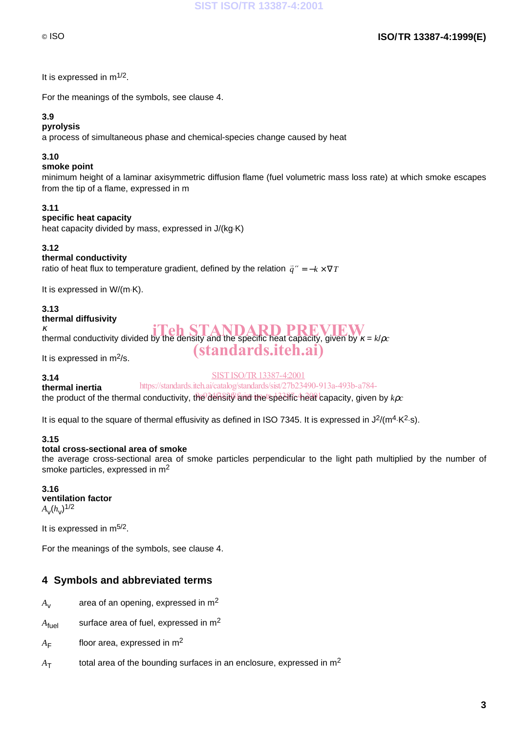It is expressed in  $m^{1/2}$ .

For the meanings of the symbols, see clause 4.

#### **3.9**

#### **pyrolysis**

a process of simultaneous phase and chemical-species change caused by heat

#### **3.10**

#### **smoke point**

minimum height of a laminar axisymmetric diffusion flame (fuel volumetric mass loss rate) at which smoke escapes from the tip of a flame, expressed in m

#### **3.11**

#### **specific heat capacity**

heat capacity divided by mass, expressed in J/(kg·K)

#### **3.12**

#### **thermal conductivity**

ratio of heat flux to temperature gradient, defined by the relation  $\vec{q}'' = -k \times \nabla T$ 

It is expressed in  $W/(m·K)$ .

#### **3.13**

#### **thermal diffusivity**

κ **Teh STANDARD PREVIEW** 

thermal conductivity divided by the density and the specific heat capacity, given by  $\kappa = k/\rho_c$ (standards.iteh.ai)

It is expressed in  $m^2/s$ .

#### SIST ISO/TR13387-4:2001

## **3.14**

**thermal inertia** the product of the thermal conductivity, the density and the specific heat capacity, given by *kpc* https://standards.iteh.ai/catalog/standards/sist/27b23490-913a-493b-a784-

It is equal to the square of thermal effusivity as defined in ISO 7345. It is expressed in  $J^2/(m^4 \cdot K^2 \cdot s)$ .

#### **3.15**

#### **total cross-sectional area of smoke**

the average cross-sectional area of smoke particles perpendicular to the light path multiplied by the number of smoke particles, expressed in m2

#### **3.16 ventilation factor**  $A_v(h_v)^{1/2}$

It is expressed in m<sup>5/2</sup>.

For the meanings of the symbols, see clause 4.

### **4 Symbols and abbreviated terms**

- $A_{v}$  area of an opening, expressed in  $m<sup>2</sup>$
- $A_{\text{fuel}}$  surface area of fuel, expressed in m<sup>2</sup>
- $A_F$  floor area, expressed in m<sup>2</sup>
- $A<sub>T</sub>$  total area of the bounding surfaces in an enclosure, expressed in m<sup>2</sup>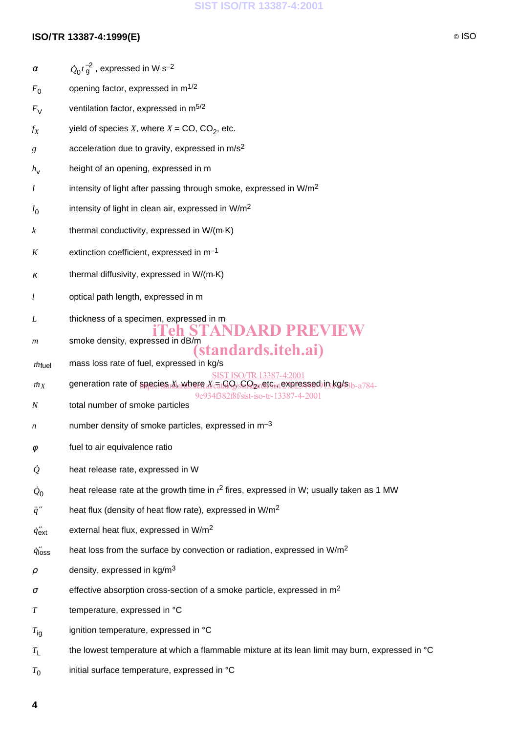#### **ISO/TR 13387-4:1999(E)** © ISO

|                       | ISO/TR 13387-4:1999(E)                                                                                                                                                                                                                         |
|-----------------------|------------------------------------------------------------------------------------------------------------------------------------------------------------------------------------------------------------------------------------------------|
| α                     | $Q_0 t_{\rm q}^{-2}$ , expressed in W·s <sup>-2</sup>                                                                                                                                                                                          |
| $F_0$                 | opening factor, expressed in m <sup>1/2</sup>                                                                                                                                                                                                  |
| $F_{V}$               | ventilation factor, expressed in m <sup>5/2</sup>                                                                                                                                                                                              |
| $f_X$                 | yield of species X, where $X = CO$ , $CO2$ , etc.                                                                                                                                                                                              |
| g                     | acceleration due to gravity, expressed in m/s <sup>2</sup>                                                                                                                                                                                     |
| $h_{\rm v}$           | height of an opening, expressed in m                                                                                                                                                                                                           |
| Ι                     | intensity of light after passing through smoke, expressed in W/m <sup>2</sup>                                                                                                                                                                  |
| $I_0$                 | intensity of light in clean air, expressed in W/m <sup>2</sup>                                                                                                                                                                                 |
| $\boldsymbol{k}$      | thermal conductivity, expressed in W/(m·K)                                                                                                                                                                                                     |
| $\cal K$              | extinction coefficient, expressed in $m^{-1}$                                                                                                                                                                                                  |
| κ                     | thermal diffusivity, expressed in W/(m·K)                                                                                                                                                                                                      |
| l                     | optical path length, expressed in m                                                                                                                                                                                                            |
| L                     | thickness of a specimen, expressed in m<br>'eh STANDARD PREVIEW                                                                                                                                                                                |
| $\boldsymbol{m}$      | smoke density, expressed in dB/m                                                                                                                                                                                                               |
| $m$ fuel              | standards.iteh.ai)<br>mass loss rate of fuel, expressed in kg/s                                                                                                                                                                                |
| $m_X$                 | SIST ISO/IR 13387-4:2001<br>generation rate of species X <sub>ia</sub> where X <sub>i</sub> = <sub>1</sub> GO <sub>/2</sub> CO <sub>bri</sub> etc <sub>ist</sub> expressed in kg/s <sub>1b-a784</sub><br>9e934f382f8f/sist-iso-tr-13387-4-2001 |
| N                     | total number of smoke particles                                                                                                                                                                                                                |
| n                     | number density of smoke particles, expressed in m <sup>-3</sup>                                                                                                                                                                                |
| φ                     | fuel to air equivalence ratio                                                                                                                                                                                                                  |
| $\dot{\varrho}$       | heat release rate, expressed in W                                                                                                                                                                                                              |
| $\dot{\mathcal{Q}}_0$ | heat release rate at the growth time in $t^2$ fires, expressed in W; usually taken as 1 MW                                                                                                                                                     |
| $\vec{q}$ "           | heat flux (density of heat flow rate), expressed in W/m <sup>2</sup>                                                                                                                                                                           |
| $q''_{\text{ext}}$    | external heat flux, expressed in W/m <sup>2</sup>                                                                                                                                                                                              |
| $q''_{\text{loss}}$   | heat loss from the surface by convection or radiation, expressed in W/m <sup>2</sup>                                                                                                                                                           |
| $\rho$                | density, expressed in kg/m <sup>3</sup>                                                                                                                                                                                                        |
| σ                     | effective absorption cross-section of a smoke particle, expressed in m <sup>2</sup>                                                                                                                                                            |
| T                     | temperature, expressed in °C                                                                                                                                                                                                                   |
| $T_{\rm ig}$          | ignition temperature, expressed in °C                                                                                                                                                                                                          |
| $T_{\rm L}$           | the lowest temperature at which a flammable mixture at its lean limit may burn, expressed in °C                                                                                                                                                |
| $T_{0}$               | initial surface temperature, expressed in °C                                                                                                                                                                                                   |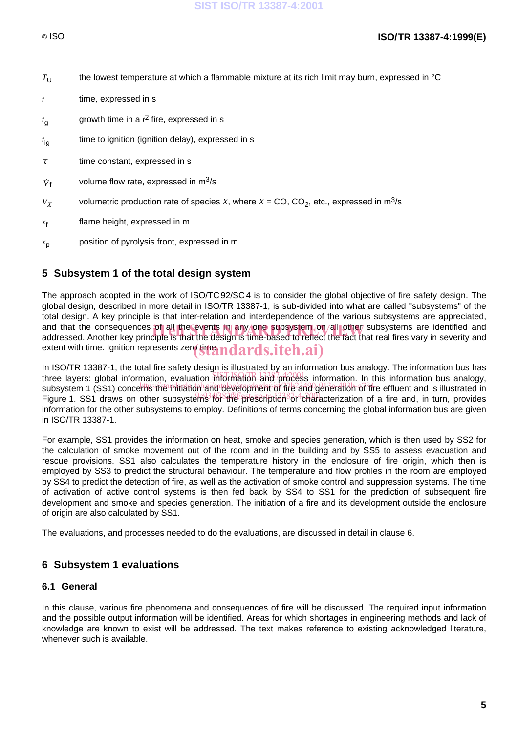$T_{\text{U}}$  the lowest temperature at which a flammable mixture at its rich limit may burn, expressed in  $\textdegree C$ 

- *t* time, expressed in s
- *t* g growth time in a  $t^2$  fire, expressed in s
- $t_{\rm ig}$ <sub>ig</sub> time to ignition (ignition delay), expressed in s
- $\tau$  time constant, expressed in s
- time to ignition (ignition delay), expressed in s<br>  $V_f$  volume flow rate, expressed in m<sup>3</sup>/s
- $V_X$  volumetric production rate of species *X*, where  $X = CO$ ,  $CO_2$ , etc., expressed in m<sup>3</sup>/s
- $x_f$  flame height, expressed in m
- $x<sub>p</sub>$  position of pyrolysis front, expressed in m

#### **5 Subsystem 1 of the total design system**

The approach adopted in the work of ISO/TC 92/SC 4 is to consider the global objective of fire safety design. The global design, described in more detail in ISO/TR 13387-1, is sub-divided into what are called "subsystems" of the total design. A key principle is that inter-relation and interdependence of the various subsystems are appreciated, and that the consequences of all the events in any one subsystem on all other subsystems are identified and<br>addressed. Another kev principle is that the design is time-based to reflect the fact that real fires vary in seve addressed. Another key principle is that the design is time-based to reflect the fact that real fires vary in severity and extent with time. Ignition represents zere  $\mathbf{y}$   $\mathbf{y}$   $\mathbf{q}$   $\mathbf{q}$   $\mathbf{q}$   $\mathbf{q}$   $\mathbf{s}$ .  $\mathbf{q}$   $\mathbf{t}$   $\mathbf{e}$   $\mathbf{h}$ .  $\mathbf{a}$   $\mathbf{i}$   $\mathbf{b}$ 

In ISO/TR 13387-1, the total fire safety design is illustrated by an information bus analogy. The information bus has three layers: global information, evaluation information and process information. In this information bus analogy, med the international medicines in the initiation and development of fire<sup>23490</sup> generation of the effluent and is illustrated in Figure 1. SS1 draws on other subsystems for the prescription of characterization of a fire and, in turn, provides information for the other subsystems to employ. Definitions of terms concerning the global information bus are given in ISO/TR 13387-1.

For example, SS1 provides the information on heat, smoke and species generation, which is then used by SS2 for the calculation of smoke movement out of the room and in the building and by SS5 to assess evacuation and rescue provisions. SS1 also calculates the temperature history in the enclosure of fire origin, which then is employed by SS3 to predict the structural behaviour. The temperature and flow profiles in the room are employed by SS4 to predict the detection of fire, as well as the activation of smoke control and suppression systems. The time of activation of active control systems is then fed back by SS4 to SS1 for the prediction of subsequent fire development and smoke and species generation. The initiation of a fire and its development outside the enclosure of origin are also calculated by SS1.

The evaluations, and processes needed to do the evaluations, are discussed in detail in clause 6.

#### **6 Subsystem 1 evaluations**

#### **6.1 General**

In this clause, various fire phenomena and consequences of fire will be discussed. The required input information and the possible output information will be identified. Areas for which shortages in engineering methods and lack of knowledge are known to exist will be addressed. The text makes reference to existing acknowledged literature, whenever such is available.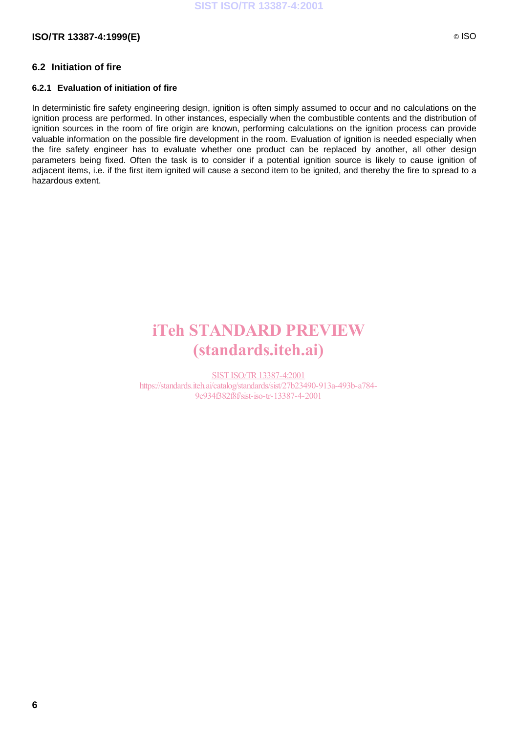#### **6.2 Initiation of fire**

#### **6.2.1 Evaluation of initiation of fire**

In deterministic fire safety engineering design, ignition is often simply assumed to occur and no calculations on the ignition process are performed. In other instances, especially when the combustible contents and the distribution of ignition sources in the room of fire origin are known, performing calculations on the ignition process can provide valuable information on the possible fire development in the room. Evaluation of ignition is needed especially when the fire safety engineer has to evaluate whether one product can be replaced by another, all other design parameters being fixed. Often the task is to consider if a potential ignition source is likely to cause ignition of adjacent items, i.e. if the first item ignited will cause a second item to be ignited, and thereby the fire to spread to a hazardous extent.

## iTeh STANDARD PREVIEW (standards.iteh.ai)

SIST ISO/TR13387-4:2001 https://standards.iteh.ai/catalog/standards/sist/27b23490-913a-493b-a784- 9e934f382f8f/sist-iso-tr-13387-4-2001